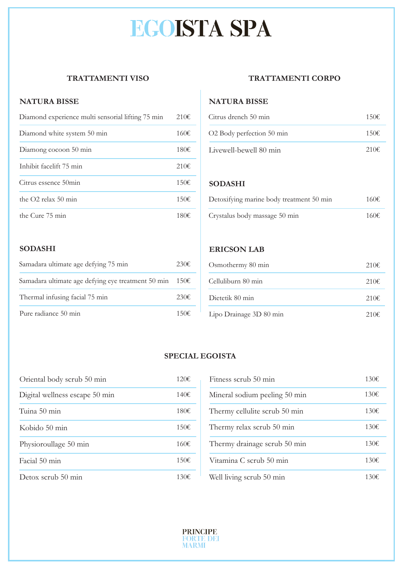# **EGOISTA SPA**

### **TRATTAMENTI VISO**

#### **NATURA BISSE**

| Diamond experience multi sensorial lifting 75 min | 210E           |
|---------------------------------------------------|----------------|
| Diamond white system 50 min                       | 160€           |
| Diamong cocoon 50 min                             | 180€           |
| Inhibit facelift 75 min                           | 210E           |
| Citrus essence 50min                              | $150 \epsilon$ |
| the $O2$ relax 50 min                             | 150E           |
| the Cure 75 min                                   | 180€           |

#### **TRATTAMENTI CORPO**

#### **NATURA BISSE**

| Citrus drench 50 min      | 150€           |
|---------------------------|----------------|
| O2 Body perfection 50 min | 150€           |
| Livewell-bewell 80 min    | 210 $\epsilon$ |

#### **SODASHI**

| Detoxifying marine body treatment 50 min | 160€           |
|------------------------------------------|----------------|
| Crystalus body massage 50 min            | 160 $\epsilon$ |

#### **SODASHI**

| Samadara ultimate age defying 75 min               | 230E    |
|----------------------------------------------------|---------|
| Samadara ultimate age defying eye treatment 50 min | 150E    |
| Thermal infusing facial 75 min                     | 230E    |
| Pure radiance 50 min                               | 1 50 H€ |

#### **ERICSON LAB**

| 230€ | Osmothermy 80 min       | 210E |
|------|-------------------------|------|
| 150E | Celluliburn 80 min      | 210E |
| 230€ | Dietetik 80 min         | 210E |
| 150E | Lipo Drainage 3D 80 min | 210E |

#### **SPECIAL EGOISTA**

| Oriental body scrub 50 min     | 120E |
|--------------------------------|------|
| Digital wellness escape 50 min | 140€ |
| Tuina 50 min                   | 180€ |
| Kobido 50 min                  | 150€ |
| Physioroullage 50 min          | 160E |
| Facial 50 min                  | 150€ |
| Detox scrub 50 min             | 130€ |

| 120E | Fitness scrub 50 min          | 130€ |
|------|-------------------------------|------|
| 140€ | Mineral sodium peeling 50 min | 130E |
| 180€ | Thermy cellulite scrub 50 min | 130E |
| 150€ | Thermy relax scrub 50 min     | 130E |
| 160€ | Thermy drainage scrub 50 min  | 130€ |
| 150€ | Vitamina C scrub 50 min       | 130E |
| 130€ | Well living scrub 50 min      | 130€ |